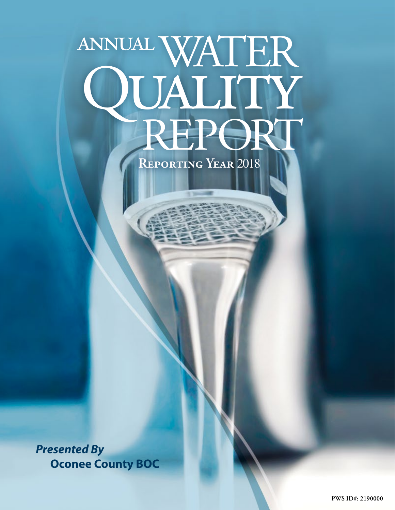# annualWATER QUALITY<br>REPORT

**Reporting Year** 2018

*Presented By* **Oconee County BOC**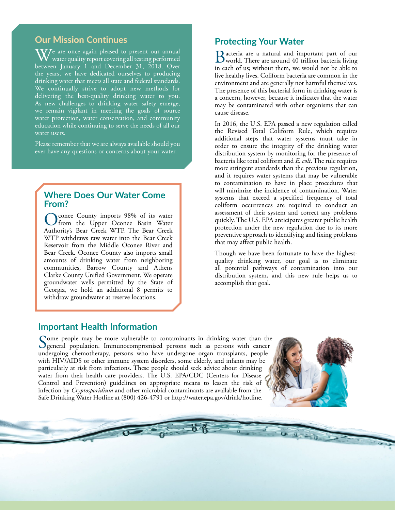### **Our Mission Continues**

 $\overline{\text{W\hspace{-1.2mm}V}}$ e are once again pleased to present our annual water quality report covering all testing performed between January 1 and December 31, 2018. Over the years, we have dedicated ourselves to producing drinking water that meets all state and federal standards. We continually strive to adopt new methods for delivering the best-quality drinking water to you. As new challenges to drinking water safety emerge, we remain vigilant in meeting the goals of source water protection, water conservation, and community education while continuing to serve the needs of all our water users.

Please remember that we are always available should you ever have any questions or concerns about your water.

#### **Where Does Our Water Come From?**

Conee County imports 98% of its water from the Upper Oconee Basin Water Authority's Bear Creek WTP. The Bear Creek WTP withdraws raw water into the Bear Creek Reservoir from the Middle Oconee River and Bear Creek. Oconee County also imports small amounts of drinking water from neighboring communities, Barrow County and Athens Clarke County Unified Government. We operate groundwater wells permitted by the State of Georgia, we hold an additional 8 permits to withdraw groundwater at reserve locations.

# **Protecting Your Water**

Bacteria are a natural and important part of our world. There are around 40 trillion bacteria living in each of us; without them, we would not be able to live healthy lives. Coliform bacteria are common in the environment and are generally not harmful themselves. The presence of this bacterial form in drinking water is a concern, however, because it indicates that the water may be contaminated with other organisms that can cause disease.

In 2016, the U.S. EPA passed a new regulation called the Revised Total Coliform Rule, which requires additional steps that water systems must take in order to ensure the integrity of the drinking water distribution system by monitoring for the presence of bacteria like total coliform and *E. coli*. The rule requires more stringent standards than the previous regulation, and it requires water systems that may be vulnerable to contamination to have in place procedures that will minimize the incidence of contamination. Water systems that exceed a specified frequency of total coliform occurrences are required to conduct an assessment of their system and correct any problems quickly. The U.S. EPA anticipates greater public health protection under the new regulation due to its more preventive approach to identifying and fixing problems that may affect public health.

Though we have been fortunate to have the highestquality drinking water, our goal is to eliminate all potential pathways of contamination into our distribution system, and this new rule helps us to accomplish that goal.

#### **Important Health Information**

Some people may be more vulnerable to contaminants in drinking water than the general population. Immunocompromised persons such as persons with cancer undergoing chemotherapy, persons who have undergone organ transplants, people with HIV/AIDS or other immune system disorders, some elderly, and infants may be particularly at risk from infections. These people should seek advice about drinking water from their health care providers. The U.S. EPA/CDC (Centers for Disease Control and Prevention) guidelines on appropriate means to lessen the risk of infection by *Cryptosporidium* and other microbial contaminants are available from the Safe Drinking Water Hotline at (800) 426-4791 or [http://water.epa.gov/drink/hotline.](http://water.epa.gov/drink/hotline)

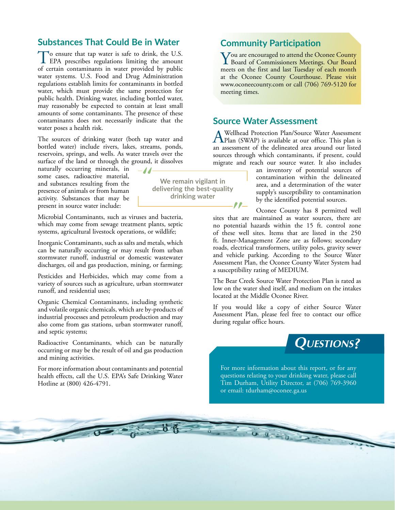#### **Substances That Could Be in Water**

To ensure that tap water is safe to drink, the U.S.<br>EPA prescribes regulations limiting the amount of certain contaminants in water provided by public water systems. U.S. Food and Drug Administration regulations establish limits for contaminants in bottled water, which must provide the same protection for public health. Drinking water, including bottled water, may reasonably be expected to contain at least small amounts of some contaminants. The presence of these contaminants does not necessarily indicate that the water poses a health risk.

The sources of drinking water (both tap water and bottled water) include rivers, lakes, streams, ponds, reservoirs, springs, and wells. As water travels over the surface of the land or through the ground, it dissolves

 $-J$ 

naturally occurring minerals, in some cases, radioactive material, and substances resulting from the presence of animals or from human activity. Substances that may be present in source water include:

Microbial Contaminants, such as viruses and bacteria, which may come from sewage treatment plants, septic systems, agricultural livestock operations, or wildlife;

Inorganic Contaminants, such as salts and metals, which can be naturally occurring or may result from urban stormwater runoff, industrial or domestic wastewater discharges, oil and gas production, mining, or farming;

Pesticides and Herbicides, which may come from a variety of sources such as agriculture, urban stormwater runoff, and residential uses;

Organic Chemical Contaminants, including synthetic and volatile organic chemicals, which are by-products of industrial processes and petroleum production and may also come from gas stations, urban stormwater runoff, and septic systems;

Radioactive Contaminants, which can be naturally occurring or may be the result of oil and gas production and mining activities.

For more information about contaminants and potential health effects, call the U.S. EPA's Safe Drinking Water Hotline at (800) 426-4791.

 $\overline{\mathbf{S}}$ 

#### **Community Participation**

You are encouraged to attend the Oconee County<br>Board of Commissioners Meetings. Our Board<br>meets are the first and less Treaders of seek meeth meets on the first and last Tuesday of each month at the Oconee County Courthouse. Please visit [www.oconeecounty.com](http://www.oconeecounty.com) or call (706) 769-5120 for meeting times.

#### **Source Water Assessment**

A Wellhead Protection Plan/Source Water Assessment<br>
Plan (SWAP) is available at our office. This plan is an assessment of the delineated area around our listed sources through which contaminants, if present, could migrate and reach our source water. It also includes

an inventory of potential sources of contamination within the delineated area, and a determination of the water supply's susceptibility to contamination by the identified potential sources.

Oconee County has 8 permitted well sites that are maintained as water sources, there are no potential hazards within the 15 ft. control zone of these well sites. Items that are listed in the 250 ft. Inner-Management Zone are as follows; secondary roads, electrical transformers, utility poles, gravity sewer and vehicle parking. According to the Source Water Assessment Plan, the Oconee County Water System had a susceptibility rating of MEDIUM.

The Bear Creek Source Water Protection Plan is rated as low on the water shed itself, and medium on the intakes located at the Middle Oconee River.

If you would like a copy of either Source Water Assessment Plan, please feel free to contact our office during regular office hours.



For more information about this report, or for any questions relating to your drinking water, please call Tim Durham, Utility Director, at (706) 769-3960 or email: [tdurham@oconee.ga.us](mailto:tdurham@oconee.ga.us)

**We remain vigilant in delivering the best-quality drinking water**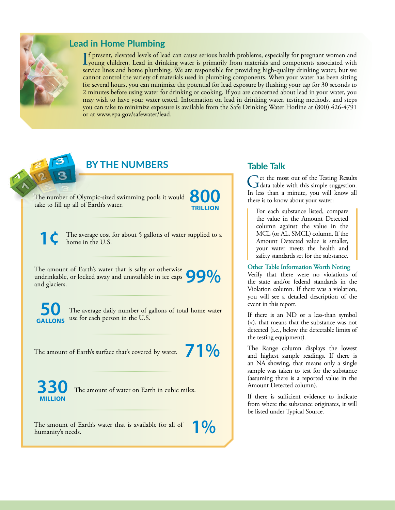

### **Lead in Home Plumbing**

If present, elevated levels of lead can cause serious health problems, especially for pregnant women and<br>young children. Lead in drinking water is primarily from materials and components associated with<br>principle line on t f present, elevated levels of lead can cause serious health problems, especially for pregnant women and service lines and home plumbing. We are responsible for providing high-quality drinking water, but we cannot control the variety of materials used in plumbing components. When your water has been sitting for several hours, you can minimize the potential for lead exposure by flushing your tap for 30 seconds to 2 minutes before using water for drinking or cooking. If you are concerned about lead in your water, you may wish to have your water tested. Information on lead in drinking water, testing methods, and steps you can take to minimize exposure is available from the Safe Drinking Water Hotline at (800) 426-4791 or at [www.epa.gov/safewater/lead.](http://www.epa.gov/safewater/lead)

# **BY THE NUMBERS**

The number of Olympic-sized swimming pools it would The number of Olympic-sized swimming pools it would<br>take to fill up all of Earth's water.

**TRILLION**

The average cost for about 5 gallons of water supplied to a home in the U.S.

The amount of Earth's water that is salty or otherwise undrinkable, or locked away and unavailable in ice caps The amount of Earth's water that is salty or otherwise<br>undrinkable, or locked away and unavailable in ice caps **99%** 

The average daily number of gallons of total home water **GALLONS** use for each person in the U.S.

The amount of Earth's surface that's covered by water.



The amount of water on Earth in cubic miles.

The amount of Earth's water that is available for all of **1 %** 

**Table Talk**

Get the most out of the Testing Results<br>
In loss show a minute way will know all In less than a minute, you will know all there is to know about your water:

For each substance listed, compare the value in the Amount Detected column against the value in the MCL (or AL, SMCL) column. If the Amount Detected value is smaller, your water meets the health and safety standards set for the substance.

**Other Table Information Worth Noting** Verify that there were no violations of the state and/or federal standards in the Violation column. If there was a violation, you will see a detailed description of the event in this report.

If there is an ND or a less-than symbol (<), that means that the substance was not detected (i.e., below the detectable limits of the testing equipment).

The Range column displays the lowest and highest sample readings. If there is an NA showing, that means only a single sample was taken to test for the substance (assuming there is a reported value in the Amount Detected column).

If there is sufficient evidence to indicate from where the substance originates, it will be listed under Typical Source.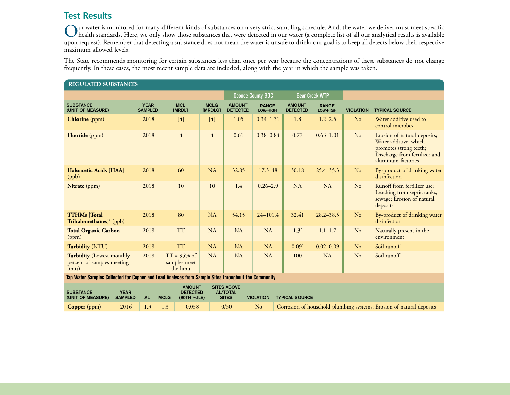# **Test Results**

Our water is monitored for many different kinds of substances on a very strict sampling schedule. And, the water we deliver must meet specific<br>was a granted to standards. Here, we only show those substances that were detec upon request). Remember that detecting a substance does not mean the water is unsafe to drink; our goal is to keep all detects below their respective maximum allowed levels.

The State recommends monitoring for certain substances less than once per year because the concentrations of these substances do not change frequently. In these cases, the most recent sample data are included, along with the year in which the sample was taken.

| <b>REGULATED SUBSTANCES</b>                                                                                                                                                                                                                                 |                               |                                             |                        |                                  |                          |                                  |                          |                  |                                                                                                                                        |
|-------------------------------------------------------------------------------------------------------------------------------------------------------------------------------------------------------------------------------------------------------------|-------------------------------|---------------------------------------------|------------------------|----------------------------------|--------------------------|----------------------------------|--------------------------|------------------|----------------------------------------------------------------------------------------------------------------------------------------|
|                                                                                                                                                                                                                                                             |                               |                                             |                        | <b>Oconee County BOC</b>         |                          | <b>Bear Creek WTP</b>            |                          |                  |                                                                                                                                        |
| <b>SUBSTANCE</b><br>(UNIT OF MEASURE)                                                                                                                                                                                                                       | <b>YEAR</b><br><b>SAMPLED</b> | <b>MCL</b><br>[MRDL]                        | <b>MCLG</b><br>[MRDLG] | <b>AMOUNT</b><br><b>DETECTED</b> | <b>RANGE</b><br>LOW-HIGH | <b>AMOUNT</b><br><b>DETECTED</b> | <b>RANGE</b><br>LOW-HIGH | <b>VIOLATION</b> | <b>TYPICAL SOURCE</b>                                                                                                                  |
| <b>Chlorine</b> (ppm)                                                                                                                                                                                                                                       | 2018                          | $[4]$                                       | $[4]$                  | 1.05                             | $0.34 - 1.31$            | 1.8                              | $1.2 - 2.5$              | No               | Water additive used to<br>control microbes                                                                                             |
| <b>Fluoride</b> (ppm)                                                                                                                                                                                                                                       | 2018                          | $\overline{4}$                              | $\overline{4}$         | 0.61                             | $0.38 - 0.84$            | 0.77                             | $0.63 - 1.01$            | No               | Erosion of natural deposits;<br>Water additive, which<br>promotes strong teeth;<br>Discharge from fertilizer and<br>aluminum factories |
| Haloacetic Acids [HAA]<br>(ppb)                                                                                                                                                                                                                             | 2018                          | 60                                          | <b>NA</b>              | 32.85                            | $17.3 - 48$              | 30.18                            | $25.4 - 35.3$            | No               | By-product of drinking water<br>disinfection                                                                                           |
| Nitrate (ppm)                                                                                                                                                                                                                                               | 2018                          | 10                                          | 10                     | 1.4                              | $0.26 - 2.9$             | <b>NA</b>                        | NA                       | No               | Runoff from fertilizer use;<br>Leaching from septic tanks,<br>sewage; Erosion of natural<br>deposits                                   |
| <b>TTHMs</b> [Total<br>Trihalomethanes] $($ ppb)                                                                                                                                                                                                            | 2018                          | 80                                          | <b>NA</b>              | 54.15                            | $24 - 101.4$             | 32.41                            | $28.2 - 38.5$            | No               | By-product of drinking water<br>disinfection                                                                                           |
| <b>Total Organic Carbon</b><br>(ppm)                                                                                                                                                                                                                        | 2018                          | <b>TT</b>                                   | NA                     | NA                               | NA                       | $1.3^{2}$                        | $1.1 - 1.7$              | No               | Naturally present in the<br>environment                                                                                                |
| Turbidity (NTU)                                                                                                                                                                                                                                             | 2018                          | <b>TT</b>                                   | <b>NA</b>              | NA                               | <b>NA</b>                | $0.09^{3}$                       | $0.02 - 0.09$            | No               | Soil runoff                                                                                                                            |
| <b>Turbidity</b> (Lowest monthly<br>percent of samples meeting<br>limit)                                                                                                                                                                                    | 2018                          | $TT = 95\%$ of<br>samples meet<br>the limit | <b>NA</b>              | <b>NA</b>                        | <b>NA</b>                | 100                              | NA                       | No               | Soil runoff                                                                                                                            |
| Tap Water Samples Collected for Copper and Lead Analyses from Sample Sites throughout the Community                                                                                                                                                         |                               |                                             |                        |                                  |                          |                                  |                          |                  |                                                                                                                                        |
| <b>SITES ABOVE</b><br><b>AMOUNT</b><br><b>YEAR</b><br><b>SUBSTANCE</b><br><b>DETECTED</b><br><b>AL/TOTAL</b><br><b>SAMPLED</b><br><b>AL</b><br><b>SITES</b><br><b>VIOLATION</b><br><b>TYPICAL SOURCE</b><br>(UNIT OF MEASURE)<br><b>MCLG</b><br>(90TH %ILE) |                               |                                             |                        |                                  |                          |                                  |                          |                  |                                                                                                                                        |

**Copper** (ppm) 2016 1.3 1.3 0.038 0/30 No Corrosion of household plumbing systems; Erosion of natural deposits